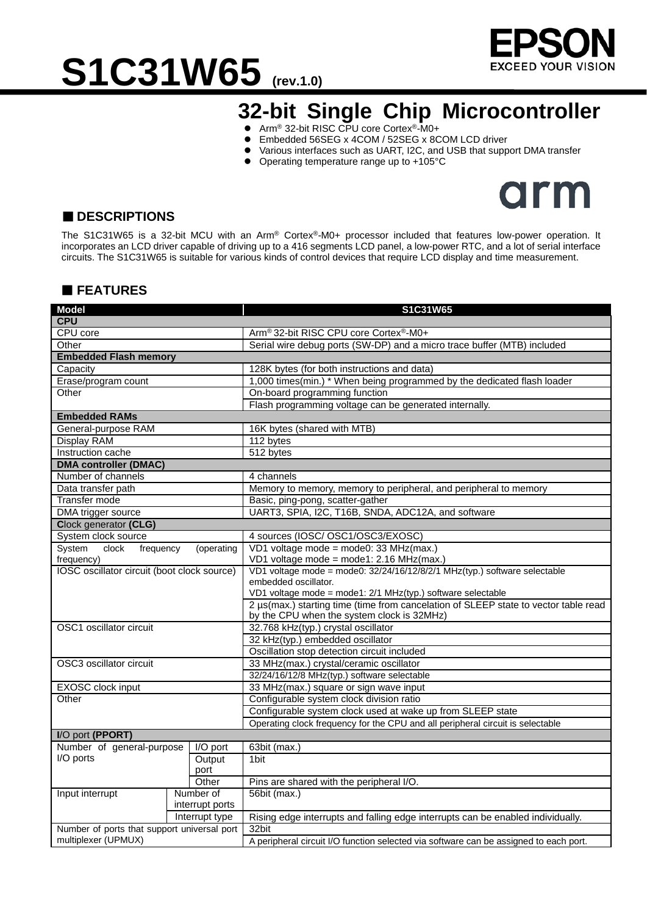

# S1C31W65 (rev.1.0)

### **32-bit Single Chip Microcontroller**

- Arm<sup>®</sup> 32-bit RISC CPU core Cortex<sup>®</sup>-M0+
- Embedded 56SEG x 4COM / 52SEG x 8COM LCD driver<br>● Various interfaces such as UART 12C, and USB that supp
- Various interfaces such as UART, I2C, and USB that support DMA transfer
- Operating temperature range up to +105°C



### ■ **DESCRIPTIONS**

The S1C31W65 is a 32-bit MCU with an Arm® Cortex®-M0+ processor included that features low-power operation. It incorporates an LCD driver capable of driving up to a 416 segments LCD panel, a low-power RTC, and a lot of serial interface circuits. The S1C31W65 is suitable for various kinds of control devices that require LCD display and time measurement.

### **FEATURES**

| <b>Model</b>                                |                 | S1C31W65                                                                                                                                                                                                                                                                                                                                                                                                                                                                                                                                                                                                                                                                                                                                                                                                                                                                                                                                                                                                                                                                                                                                                                                                                                                                                                                                                                                                                                                                                                                                                                                                              |  |  |  |  |
|---------------------------------------------|-----------------|-----------------------------------------------------------------------------------------------------------------------------------------------------------------------------------------------------------------------------------------------------------------------------------------------------------------------------------------------------------------------------------------------------------------------------------------------------------------------------------------------------------------------------------------------------------------------------------------------------------------------------------------------------------------------------------------------------------------------------------------------------------------------------------------------------------------------------------------------------------------------------------------------------------------------------------------------------------------------------------------------------------------------------------------------------------------------------------------------------------------------------------------------------------------------------------------------------------------------------------------------------------------------------------------------------------------------------------------------------------------------------------------------------------------------------------------------------------------------------------------------------------------------------------------------------------------------------------------------------------------------|--|--|--|--|
| <b>CPU</b>                                  |                 |                                                                                                                                                                                                                                                                                                                                                                                                                                                                                                                                                                                                                                                                                                                                                                                                                                                                                                                                                                                                                                                                                                                                                                                                                                                                                                                                                                                                                                                                                                                                                                                                                       |  |  |  |  |
| CPU core                                    |                 |                                                                                                                                                                                                                                                                                                                                                                                                                                                                                                                                                                                                                                                                                                                                                                                                                                                                                                                                                                                                                                                                                                                                                                                                                                                                                                                                                                                                                                                                                                                                                                                                                       |  |  |  |  |
| Other                                       |                 |                                                                                                                                                                                                                                                                                                                                                                                                                                                                                                                                                                                                                                                                                                                                                                                                                                                                                                                                                                                                                                                                                                                                                                                                                                                                                                                                                                                                                                                                                                                                                                                                                       |  |  |  |  |
| <b>Embedded Flash memory</b>                |                 |                                                                                                                                                                                                                                                                                                                                                                                                                                                                                                                                                                                                                                                                                                                                                                                                                                                                                                                                                                                                                                                                                                                                                                                                                                                                                                                                                                                                                                                                                                                                                                                                                       |  |  |  |  |
| Capacity                                    |                 | 128K bytes (for both instructions and data)                                                                                                                                                                                                                                                                                                                                                                                                                                                                                                                                                                                                                                                                                                                                                                                                                                                                                                                                                                                                                                                                                                                                                                                                                                                                                                                                                                                                                                                                                                                                                                           |  |  |  |  |
| Erase/program count                         |                 |                                                                                                                                                                                                                                                                                                                                                                                                                                                                                                                                                                                                                                                                                                                                                                                                                                                                                                                                                                                                                                                                                                                                                                                                                                                                                                                                                                                                                                                                                                                                                                                                                       |  |  |  |  |
| Other                                       |                 |                                                                                                                                                                                                                                                                                                                                                                                                                                                                                                                                                                                                                                                                                                                                                                                                                                                                                                                                                                                                                                                                                                                                                                                                                                                                                                                                                                                                                                                                                                                                                                                                                       |  |  |  |  |
|                                             |                 |                                                                                                                                                                                                                                                                                                                                                                                                                                                                                                                                                                                                                                                                                                                                                                                                                                                                                                                                                                                                                                                                                                                                                                                                                                                                                                                                                                                                                                                                                                                                                                                                                       |  |  |  |  |
| <b>Embedded RAMs</b>                        |                 |                                                                                                                                                                                                                                                                                                                                                                                                                                                                                                                                                                                                                                                                                                                                                                                                                                                                                                                                                                                                                                                                                                                                                                                                                                                                                                                                                                                                                                                                                                                                                                                                                       |  |  |  |  |
| General-purpose RAM                         |                 |                                                                                                                                                                                                                                                                                                                                                                                                                                                                                                                                                                                                                                                                                                                                                                                                                                                                                                                                                                                                                                                                                                                                                                                                                                                                                                                                                                                                                                                                                                                                                                                                                       |  |  |  |  |
| <b>Display RAM</b>                          |                 | Arm® 32-bit RISC CPU core Cortex®-M0+<br>Serial wire debug ports (SW-DP) and a micro trace buffer (MTB) included<br>1,000 times(min.) * When being programmed by the dedicated flash loader<br>On-board programming function<br>Flash programming voltage can be generated internally.<br>16K bytes (shared with MTB)<br>112 bytes<br>512 bytes<br>4 channels<br>Memory to memory, memory to peripheral, and peripheral to memory<br>Basic, ping-pong, scatter-gather<br>UART3, SPIA, I2C, T16B, SNDA, ADC12A, and software<br>4 sources (IOSC/ OSC1/OSC3/EXOSC)<br>VD1 voltage mode = mode0: 33 MHz(max.)<br>VD1 voltage mode = mode1: 2.16 MHz(max.)<br>VD1 voltage mode = mode0: 32/24/16/12/8/2/1 MHz(typ.) software selectable<br>embedded oscillator.<br>VD1 voltage mode = mode1: 2/1 MHz(typ.) software selectable<br>2 µs(max.) starting time (time from cancelation of SLEEP state to vector table read<br>by the CPU when the system clock is 32MHz)<br>32.768 kHz(typ.) crystal oscillator<br>32 kHz(typ.) embedded oscillator<br>Oscillation stop detection circuit included<br>33 MHz(max.) crystal/ceramic oscillator<br>32/24/16/12/8 MHz(typ.) software selectable<br>33 MHz(max.) square or sign wave input<br>Configurable system clock division ratio<br>Configurable system clock used at wake up from SLEEP state<br>Operating clock frequency for the CPU and all peripheral circuit is selectable<br>63bit (max.)<br>1 <sub>bit</sub><br>Pins are shared with the peripheral I/O.<br>56bit (max.)<br>Rising edge interrupts and falling edge interrupts can be enabled individually.<br>32bit |  |  |  |  |
| Instruction cache                           |                 |                                                                                                                                                                                                                                                                                                                                                                                                                                                                                                                                                                                                                                                                                                                                                                                                                                                                                                                                                                                                                                                                                                                                                                                                                                                                                                                                                                                                                                                                                                                                                                                                                       |  |  |  |  |
| <b>DMA controller (DMAC)</b>                |                 |                                                                                                                                                                                                                                                                                                                                                                                                                                                                                                                                                                                                                                                                                                                                                                                                                                                                                                                                                                                                                                                                                                                                                                                                                                                                                                                                                                                                                                                                                                                                                                                                                       |  |  |  |  |
| Number of channels                          |                 |                                                                                                                                                                                                                                                                                                                                                                                                                                                                                                                                                                                                                                                                                                                                                                                                                                                                                                                                                                                                                                                                                                                                                                                                                                                                                                                                                                                                                                                                                                                                                                                                                       |  |  |  |  |
| Data transfer path                          |                 |                                                                                                                                                                                                                                                                                                                                                                                                                                                                                                                                                                                                                                                                                                                                                                                                                                                                                                                                                                                                                                                                                                                                                                                                                                                                                                                                                                                                                                                                                                                                                                                                                       |  |  |  |  |
| <b>Transfer mode</b>                        |                 |                                                                                                                                                                                                                                                                                                                                                                                                                                                                                                                                                                                                                                                                                                                                                                                                                                                                                                                                                                                                                                                                                                                                                                                                                                                                                                                                                                                                                                                                                                                                                                                                                       |  |  |  |  |
| DMA trigger source                          |                 |                                                                                                                                                                                                                                                                                                                                                                                                                                                                                                                                                                                                                                                                                                                                                                                                                                                                                                                                                                                                                                                                                                                                                                                                                                                                                                                                                                                                                                                                                                                                                                                                                       |  |  |  |  |
| Clock generator (CLG)                       |                 |                                                                                                                                                                                                                                                                                                                                                                                                                                                                                                                                                                                                                                                                                                                                                                                                                                                                                                                                                                                                                                                                                                                                                                                                                                                                                                                                                                                                                                                                                                                                                                                                                       |  |  |  |  |
| System clock source                         |                 |                                                                                                                                                                                                                                                                                                                                                                                                                                                                                                                                                                                                                                                                                                                                                                                                                                                                                                                                                                                                                                                                                                                                                                                                                                                                                                                                                                                                                                                                                                                                                                                                                       |  |  |  |  |
| System<br>clock<br>frequency                | (operating      |                                                                                                                                                                                                                                                                                                                                                                                                                                                                                                                                                                                                                                                                                                                                                                                                                                                                                                                                                                                                                                                                                                                                                                                                                                                                                                                                                                                                                                                                                                                                                                                                                       |  |  |  |  |
| frequency)                                  |                 |                                                                                                                                                                                                                                                                                                                                                                                                                                                                                                                                                                                                                                                                                                                                                                                                                                                                                                                                                                                                                                                                                                                                                                                                                                                                                                                                                                                                                                                                                                                                                                                                                       |  |  |  |  |
| IOSC oscillator circuit (boot clock source) |                 |                                                                                                                                                                                                                                                                                                                                                                                                                                                                                                                                                                                                                                                                                                                                                                                                                                                                                                                                                                                                                                                                                                                                                                                                                                                                                                                                                                                                                                                                                                                                                                                                                       |  |  |  |  |
|                                             |                 |                                                                                                                                                                                                                                                                                                                                                                                                                                                                                                                                                                                                                                                                                                                                                                                                                                                                                                                                                                                                                                                                                                                                                                                                                                                                                                                                                                                                                                                                                                                                                                                                                       |  |  |  |  |
|                                             |                 |                                                                                                                                                                                                                                                                                                                                                                                                                                                                                                                                                                                                                                                                                                                                                                                                                                                                                                                                                                                                                                                                                                                                                                                                                                                                                                                                                                                                                                                                                                                                                                                                                       |  |  |  |  |
|                                             |                 |                                                                                                                                                                                                                                                                                                                                                                                                                                                                                                                                                                                                                                                                                                                                                                                                                                                                                                                                                                                                                                                                                                                                                                                                                                                                                                                                                                                                                                                                                                                                                                                                                       |  |  |  |  |
| OSC1 oscillator circuit                     |                 |                                                                                                                                                                                                                                                                                                                                                                                                                                                                                                                                                                                                                                                                                                                                                                                                                                                                                                                                                                                                                                                                                                                                                                                                                                                                                                                                                                                                                                                                                                                                                                                                                       |  |  |  |  |
|                                             |                 |                                                                                                                                                                                                                                                                                                                                                                                                                                                                                                                                                                                                                                                                                                                                                                                                                                                                                                                                                                                                                                                                                                                                                                                                                                                                                                                                                                                                                                                                                                                                                                                                                       |  |  |  |  |
|                                             |                 |                                                                                                                                                                                                                                                                                                                                                                                                                                                                                                                                                                                                                                                                                                                                                                                                                                                                                                                                                                                                                                                                                                                                                                                                                                                                                                                                                                                                                                                                                                                                                                                                                       |  |  |  |  |
| OSC3 oscillator circuit                     |                 |                                                                                                                                                                                                                                                                                                                                                                                                                                                                                                                                                                                                                                                                                                                                                                                                                                                                                                                                                                                                                                                                                                                                                                                                                                                                                                                                                                                                                                                                                                                                                                                                                       |  |  |  |  |
|                                             |                 |                                                                                                                                                                                                                                                                                                                                                                                                                                                                                                                                                                                                                                                                                                                                                                                                                                                                                                                                                                                                                                                                                                                                                                                                                                                                                                                                                                                                                                                                                                                                                                                                                       |  |  |  |  |
| EXOSC clock input                           |                 |                                                                                                                                                                                                                                                                                                                                                                                                                                                                                                                                                                                                                                                                                                                                                                                                                                                                                                                                                                                                                                                                                                                                                                                                                                                                                                                                                                                                                                                                                                                                                                                                                       |  |  |  |  |
| Other                                       |                 |                                                                                                                                                                                                                                                                                                                                                                                                                                                                                                                                                                                                                                                                                                                                                                                                                                                                                                                                                                                                                                                                                                                                                                                                                                                                                                                                                                                                                                                                                                                                                                                                                       |  |  |  |  |
|                                             |                 |                                                                                                                                                                                                                                                                                                                                                                                                                                                                                                                                                                                                                                                                                                                                                                                                                                                                                                                                                                                                                                                                                                                                                                                                                                                                                                                                                                                                                                                                                                                                                                                                                       |  |  |  |  |
|                                             |                 |                                                                                                                                                                                                                                                                                                                                                                                                                                                                                                                                                                                                                                                                                                                                                                                                                                                                                                                                                                                                                                                                                                                                                                                                                                                                                                                                                                                                                                                                                                                                                                                                                       |  |  |  |  |
| I/O port (PPORT)                            |                 |                                                                                                                                                                                                                                                                                                                                                                                                                                                                                                                                                                                                                                                                                                                                                                                                                                                                                                                                                                                                                                                                                                                                                                                                                                                                                                                                                                                                                                                                                                                                                                                                                       |  |  |  |  |
| Number of general-purpose                   | I/O port        |                                                                                                                                                                                                                                                                                                                                                                                                                                                                                                                                                                                                                                                                                                                                                                                                                                                                                                                                                                                                                                                                                                                                                                                                                                                                                                                                                                                                                                                                                                                                                                                                                       |  |  |  |  |
| I/O ports                                   | Output          |                                                                                                                                                                                                                                                                                                                                                                                                                                                                                                                                                                                                                                                                                                                                                                                                                                                                                                                                                                                                                                                                                                                                                                                                                                                                                                                                                                                                                                                                                                                                                                                                                       |  |  |  |  |
|                                             | port            |                                                                                                                                                                                                                                                                                                                                                                                                                                                                                                                                                                                                                                                                                                                                                                                                                                                                                                                                                                                                                                                                                                                                                                                                                                                                                                                                                                                                                                                                                                                                                                                                                       |  |  |  |  |
| Other                                       |                 |                                                                                                                                                                                                                                                                                                                                                                                                                                                                                                                                                                                                                                                                                                                                                                                                                                                                                                                                                                                                                                                                                                                                                                                                                                                                                                                                                                                                                                                                                                                                                                                                                       |  |  |  |  |
| Input interrupt<br>Number of                |                 |                                                                                                                                                                                                                                                                                                                                                                                                                                                                                                                                                                                                                                                                                                                                                                                                                                                                                                                                                                                                                                                                                                                                                                                                                                                                                                                                                                                                                                                                                                                                                                                                                       |  |  |  |  |
|                                             | interrupt ports |                                                                                                                                                                                                                                                                                                                                                                                                                                                                                                                                                                                                                                                                                                                                                                                                                                                                                                                                                                                                                                                                                                                                                                                                                                                                                                                                                                                                                                                                                                                                                                                                                       |  |  |  |  |
|                                             | Interrupt type  |                                                                                                                                                                                                                                                                                                                                                                                                                                                                                                                                                                                                                                                                                                                                                                                                                                                                                                                                                                                                                                                                                                                                                                                                                                                                                                                                                                                                                                                                                                                                                                                                                       |  |  |  |  |
| Number of ports that support universal port |                 |                                                                                                                                                                                                                                                                                                                                                                                                                                                                                                                                                                                                                                                                                                                                                                                                                                                                                                                                                                                                                                                                                                                                                                                                                                                                                                                                                                                                                                                                                                                                                                                                                       |  |  |  |  |
| multiplexer (UPMUX)                         |                 | A peripheral circuit I/O function selected via software can be assigned to each port.                                                                                                                                                                                                                                                                                                                                                                                                                                                                                                                                                                                                                                                                                                                                                                                                                                                                                                                                                                                                                                                                                                                                                                                                                                                                                                                                                                                                                                                                                                                                 |  |  |  |  |
|                                             |                 |                                                                                                                                                                                                                                                                                                                                                                                                                                                                                                                                                                                                                                                                                                                                                                                                                                                                                                                                                                                                                                                                                                                                                                                                                                                                                                                                                                                                                                                                                                                                                                                                                       |  |  |  |  |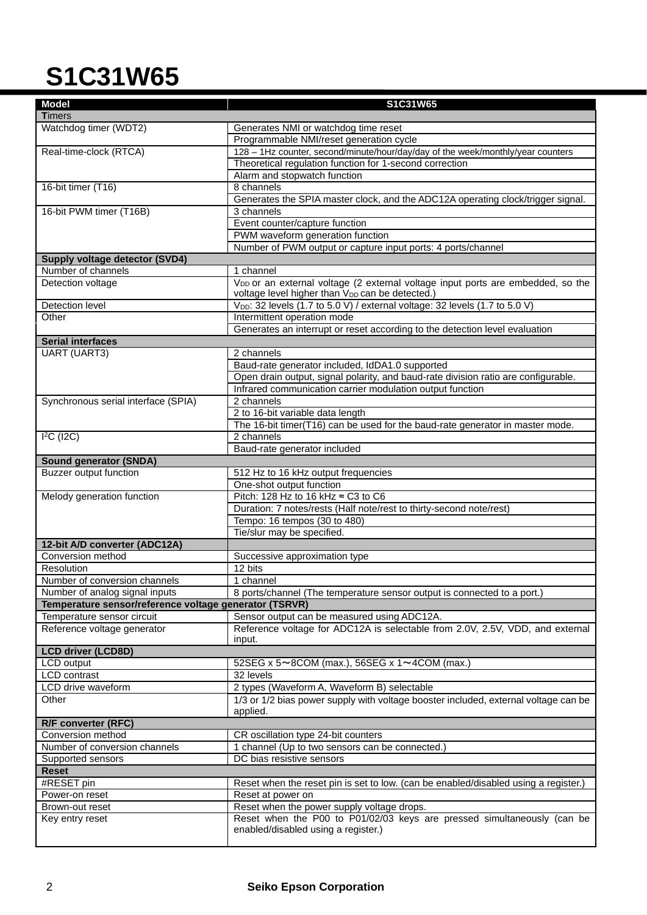| <b>Model</b>                                           | S1C31W65                                                                                        |
|--------------------------------------------------------|-------------------------------------------------------------------------------------------------|
| <b>Timers</b>                                          |                                                                                                 |
| Watchdog timer (WDT2)                                  | Generates NMI or watchdog time reset                                                            |
|                                                        | Programmable NMI/reset generation cycle                                                         |
| Real-time-clock (RTCA)                                 | 128 - 1Hz counter, second/minute/hour/day/day of the week/monthly/year counters                 |
|                                                        | Theoretical regulation function for 1-second correction                                         |
|                                                        | Alarm and stopwatch function                                                                    |
| 16-bit timer (T16)                                     | 8 channels                                                                                      |
|                                                        | Generates the SPIA master clock, and the ADC12A operating clock/trigger signal.                 |
| 16-bit PWM timer (T16B)                                | 3 channels                                                                                      |
|                                                        | Event counter/capture function                                                                  |
|                                                        | PWM waveform generation function                                                                |
|                                                        | Number of PWM output or capture input ports: 4 ports/channel                                    |
| Supply voltage detector (SVD4)<br>Number of channels   | 1 channel                                                                                       |
| Detection voltage                                      | V <sub>DD</sub> or an external voltage (2 external voltage input ports are embedded, so the     |
|                                                        | voltage level higher than VDD can be detected.)                                                 |
| <b>Detection level</b>                                 | V <sub>DD</sub> : 32 levels (1.7 to 5.0 V) / external voltage: 32 levels (1.7 to 5.0 V)         |
| Other                                                  | Intermittent operation mode                                                                     |
|                                                        | Generates an interrupt or reset according to the detection level evaluation                     |
| <b>Serial interfaces</b>                               |                                                                                                 |
| <b>UART (UART3)</b>                                    | 2 channels                                                                                      |
|                                                        | Baud-rate generator included, IdDA1.0 supported                                                 |
|                                                        | Open drain output, signal polarity, and baud-rate division ratio are configurable.              |
|                                                        | Infrared communication carrier modulation output function                                       |
| Synchronous serial interface (SPIA)                    | 2 channels                                                                                      |
|                                                        | 2 to 16-bit variable data length                                                                |
|                                                        | The 16-bit timer(T16) can be used for the baud-rate generator in master mode.                   |
| $I2C$ (I2C)                                            | 2 channels                                                                                      |
|                                                        | Baud-rate generator included                                                                    |
| <b>Sound generator (SNDA)</b>                          |                                                                                                 |
| <b>Buzzer output function</b>                          | 512 Hz to 16 kHz output frequencies                                                             |
|                                                        | One-shot output function<br>Pitch: 128 Hz to 16 kHz $\approx$ C3 to C6                          |
| Melody generation function                             | Duration: 7 notes/rests (Half note/rest to thirty-second note/rest)                             |
|                                                        | Tempo: 16 tempos (30 to 480)                                                                    |
|                                                        | Tie/slur may be specified.                                                                      |
| 12-bit A/D converter (ADC12A)                          |                                                                                                 |
| Conversion method                                      | Successive approximation type                                                                   |
| Resolution                                             | 12 bits                                                                                         |
| Number of conversion channels                          | 1 channel                                                                                       |
| Number of analog signal inputs                         | 8 ports/channel (The temperature sensor output is connected to a port.)                         |
| Temperature sensor/reference voltage generator (TSRVR) |                                                                                                 |
| Temperature sensor circuit                             | Sensor output can be measured using ADC12A.                                                     |
| Reference voltage generator                            | Reference voltage for ADC12A is selectable from 2.0V, 2.5V, VDD, and external                   |
|                                                        | input.                                                                                          |
| <b>LCD driver (LCD8D)</b>                              |                                                                                                 |
| LCD output                                             | 52SEG x 5~8COM (max.), 56SEG x 1~4COM (max.)                                                    |
| <b>LCD</b> contrast                                    | 32 levels                                                                                       |
| LCD drive waveform                                     | 2 types (Waveform A, Waveform B) selectable                                                     |
| Other                                                  | 1/3 or 1/2 bias power supply with voltage booster included, external voltage can be<br>applied. |
| R/F converter (RFC)                                    |                                                                                                 |
| Conversion method                                      | CR oscillation type 24-bit counters                                                             |
| Number of conversion channels                          | 1 channel (Up to two sensors can be connected.)                                                 |
| Supported sensors                                      | DC bias resistive sensors                                                                       |
| <b>Reset</b>                                           |                                                                                                 |
| #RESET pin                                             | Reset when the reset pin is set to low. (can be enabled/disabled using a register.)             |
| Power-on reset                                         | Reset at power on                                                                               |
| Brown-out reset                                        | Reset when the power supply voltage drops.                                                      |
| Key entry reset                                        | Reset when the P00 to P01/02/03 keys are pressed simultaneously (can be                         |
|                                                        | enabled/disabled using a register.)                                                             |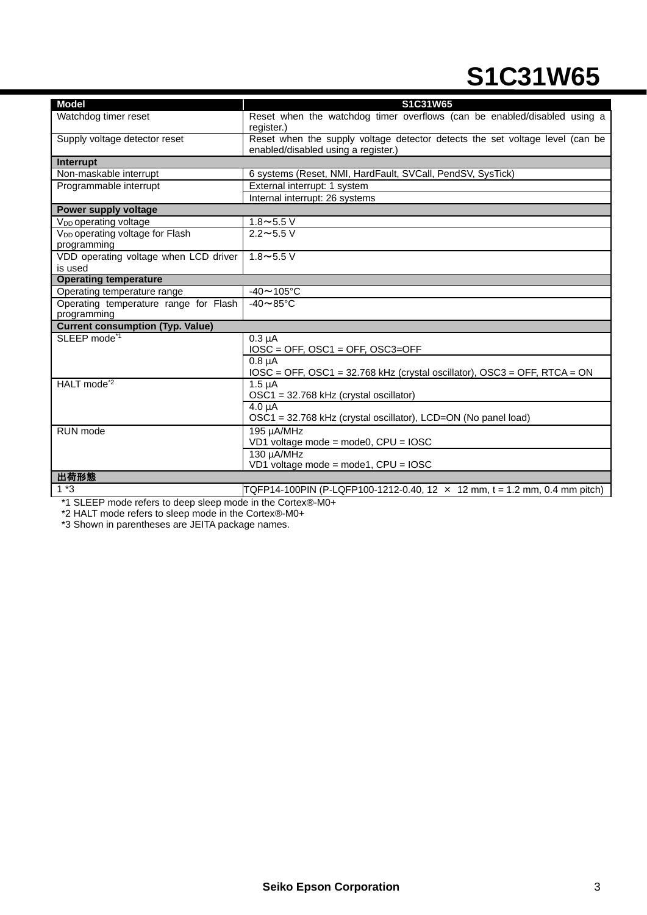| <b>Model</b>                                               | S1C31W65                                                                                                            |
|------------------------------------------------------------|---------------------------------------------------------------------------------------------------------------------|
| Watchdog timer reset                                       | Reset when the watchdog timer overflows (can be enabled/disabled using a<br>register.)                              |
| Supply voltage detector reset                              | Reset when the supply voltage detector detects the set voltage level (can be<br>enabled/disabled using a register.) |
| Interrupt                                                  |                                                                                                                     |
| Non-maskable interrupt                                     | 6 systems (Reset, NMI, HardFault, SVCall, PendSV, SysTick)                                                          |
| Programmable interrupt                                     | External interrupt: 1 system                                                                                        |
|                                                            | Internal interrupt: 26 systems                                                                                      |
| Power supply voltage                                       |                                                                                                                     |
| V <sub>DD</sub> operating voltage                          | $1.8 - 5.5$ V                                                                                                       |
| V <sub>DD</sub> operating voltage for Flash<br>programming | $2.2 \sim 5.5 V$                                                                                                    |
| VDD operating voltage when LCD driver                      | $1.8 - 5.5$ V                                                                                                       |
| is used                                                    |                                                                                                                     |
| <b>Operating temperature</b>                               |                                                                                                                     |
| Operating temperature range                                | $-40 \sim 105$ °C                                                                                                   |
| Operating temperature range for Flash                      | $-40 \sim 85$ °C                                                                                                    |
| programming                                                |                                                                                                                     |
| <b>Current consumption (Typ. Value)</b>                    |                                                                                                                     |
| SLEEP mode <sup>*1</sup>                                   | $0.3 \mu A$<br>$IOSC = OFF$ , $OSC1 = OFF$ , $OSC3 = OFF$                                                           |
|                                                            | $0.8 \mu A$<br>IOSC = OFF, OSC1 = 32.768 kHz (crystal oscillator), OSC3 = OFF, RTCA = ON                            |
| HALT mode <sup>*2</sup>                                    | $1.5 \mu A$<br>OSC1 = 32.768 kHz (crystal oscillator)                                                               |
|                                                            | $4.0 \mu A$                                                                                                         |
|                                                            | OSC1 = 32.768 kHz (crystal oscillator), LCD=ON (No panel load)                                                      |
| RUN mode                                                   | 195 µA/MHz                                                                                                          |
|                                                            | VD1 voltage mode = mode0, CPU = IOSC                                                                                |
|                                                            | 130 µA/MHz<br>VD1 voltage mode = mode1, CPU = IOSC                                                                  |
| 出荷形態                                                       |                                                                                                                     |
| $1*3$                                                      | TQFP14-100PIN (P-LQFP100-1212-0.40, 12 × 12 mm, t = 1.2 mm, 0.4 mm pitch)                                           |
|                                                            |                                                                                                                     |

\*1 SLEEP mode refers to deep sleep mode in the Cortex®-M0+

\*2 HALT mode refers to sleep mode in the Cortex®-M0+

\*3 Shown in parentheses are JEITA package names.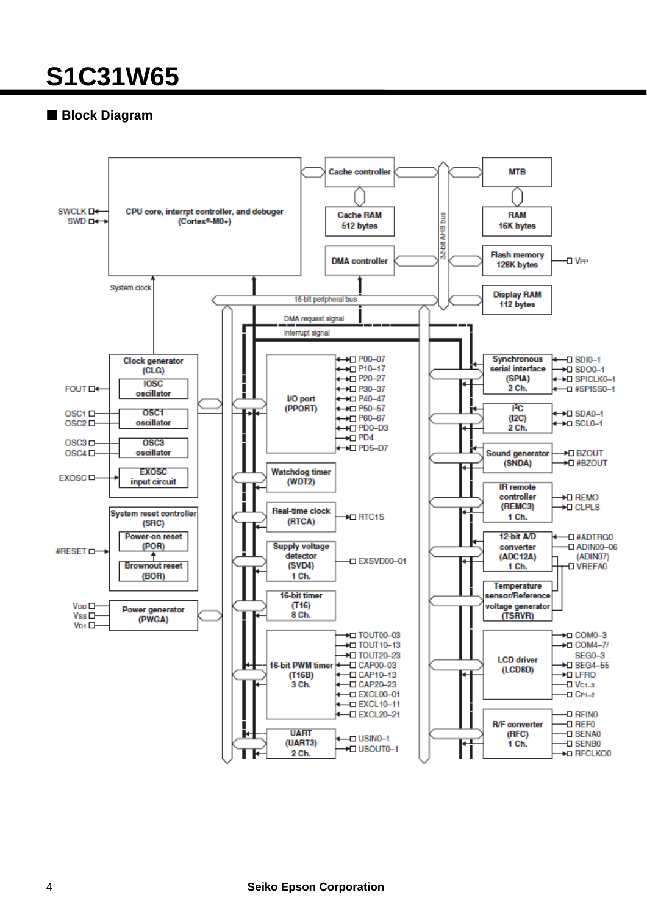### **Block Diagram**

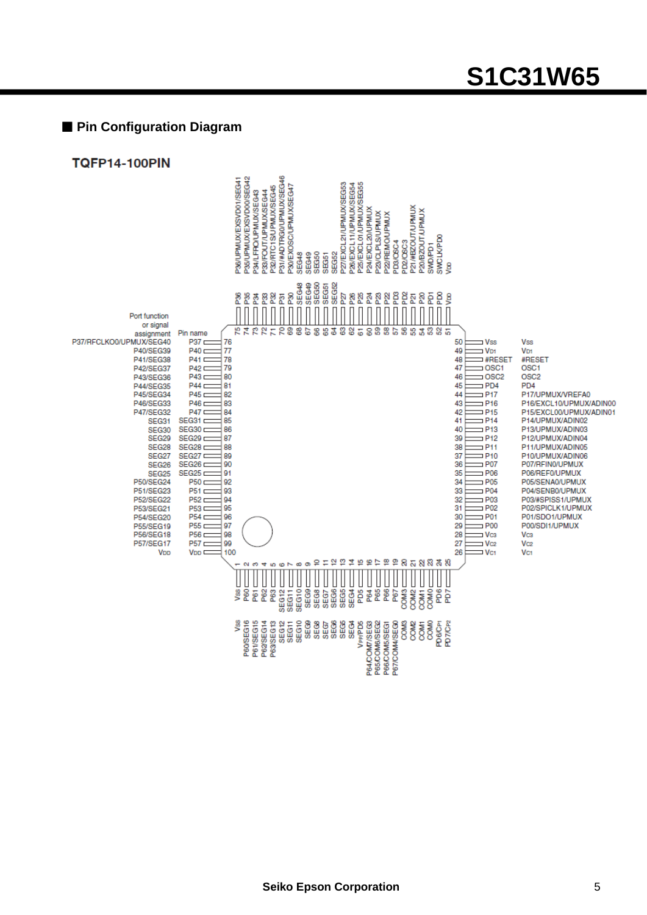### **Pin Configuration Diagram**

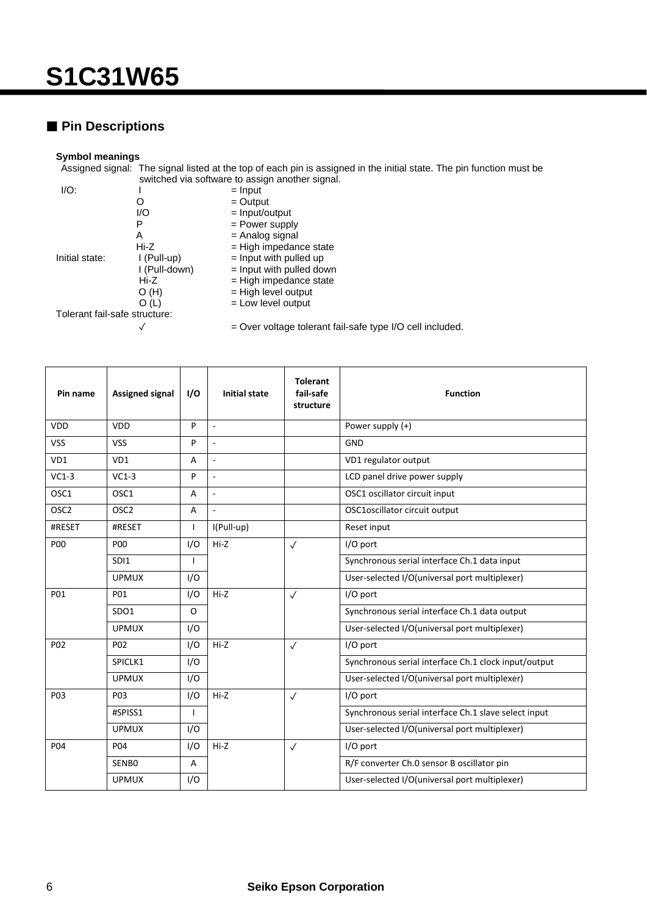### **Pin Descriptions**

#### **Symbol meanings**

Assigned signal: The signal listed at the top of each pin is assigned in the initial state. The pin function must be switched via software to assign another signal.

| I/O:                          |               | $=$ Input                    |
|-------------------------------|---------------|------------------------------|
|                               |               | $=$ Output                   |
|                               | I/O           | $=$ Input/output             |
|                               | Р             | = Power supply               |
|                               | A             | $=$ Analog signal            |
|                               | Hi-Z          | $=$ High impedance state     |
| Initial state:                | I (Pull-up)   | $=$ Input with pulled up     |
|                               | I (Pull-down) | $=$ Input with pulled down   |
|                               | Hi-Z          | $=$ High impedance state     |
|                               | O(H)          | = High level output          |
|                               | O (L)         | $=$ Low level output         |
| Tolerant fail-safe structure: |               |                              |
|                               |               | Over voltage tolerant fail-s |

✓ = Over voltage tolerant fail-safe type I/O cell included.

| Pin name         | <b>Assigned signal</b> | I/O | <b>Initial state</b>     | <b>Tolerant</b><br>fail-safe<br>structure | <b>Function</b>                                      |
|------------------|------------------------|-----|--------------------------|-------------------------------------------|------------------------------------------------------|
| <b>VDD</b>       | <b>VDD</b>             | P   | $\overline{\phantom{a}}$ |                                           | Power supply (+)                                     |
| <b>VSS</b>       | <b>VSS</b>             | P   | $\sim$                   |                                           | GND                                                  |
| VD1              | VD1                    | A   | ÷,                       |                                           | VD1 regulator output                                 |
| $VC1-3$          | $VC1-3$                | P   | $\bar{a}$                |                                           | LCD panel drive power supply                         |
| OSC1             | OSC1                   | A   | ÷,                       |                                           | OSC1 oscillator circuit input                        |
| OSC <sub>2</sub> | OSC <sub>2</sub>       | A   | $\sim$                   |                                           | OSC1oscillator circuit output                        |
| #RESET           | #RESET                 | I   | I(Pull-up)               |                                           | Reset input                                          |
| <b>P00</b>       | <b>P00</b>             | I/O | $Hi-Z$                   | $\checkmark$                              | I/O port                                             |
|                  | SDI1                   | ı   |                          |                                           | Synchronous serial interface Ch.1 data input         |
|                  | <b>UPMUX</b>           | I/O |                          |                                           | User-selected I/O(universal port multiplexer)        |
| P01              | P01                    | I/O | Hi-Z                     | $\checkmark$                              | I/O port                                             |
|                  | SDO1                   | O   |                          |                                           | Synchronous serial interface Ch.1 data output        |
|                  | <b>UPMUX</b>           | I/O |                          |                                           | User-selected I/O(universal port multiplexer)        |
| P02              | P <sub>02</sub>        | I/O | $Hi-Z$                   | $\checkmark$                              | I/O port                                             |
|                  | SPICLK1                | I/O |                          |                                           | Synchronous serial interface Ch.1 clock input/output |
|                  | <b>UPMUX</b>           | I/O |                          |                                           | User-selected I/O(universal port multiplexer)        |
| P <sub>0</sub> 3 | P <sub>0</sub> 3       | I/O | $Hi-Z$                   | $\checkmark$                              | I/O port                                             |
|                  | #SPISS1                | ı   |                          |                                           | Synchronous serial interface Ch.1 slave select input |
|                  | <b>UPMUX</b>           | I/O |                          |                                           | User-selected I/O(universal port multiplexer)        |
| P04              | P04                    | I/O | $Hi-Z$                   | $\checkmark$                              | I/O port                                             |
|                  | SENBO                  | A   |                          |                                           | R/F converter Ch.0 sensor B oscillator pin           |
|                  | <b>UPMUX</b>           | I/O |                          |                                           | User-selected I/O(universal port multiplexer)        |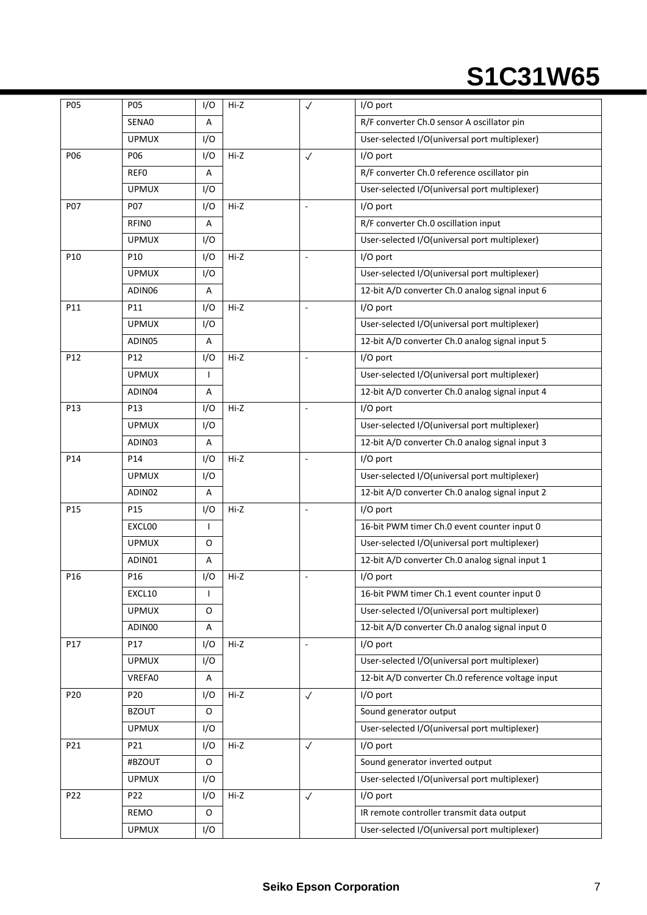| P05             | P05             | I/O          | Hi-Z   | $\checkmark$             | I/O port                                          |
|-----------------|-----------------|--------------|--------|--------------------------|---------------------------------------------------|
|                 | SENA0           | A            |        |                          | R/F converter Ch.0 sensor A oscillator pin        |
|                 | <b>UPMUX</b>    | I/O          |        |                          | User-selected I/O(universal port multiplexer)     |
| P06             | P06             | I/O          | Hi-Z   | $\checkmark$             | $I/O$ port                                        |
|                 | <b>REFO</b>     | A            |        |                          | R/F converter Ch.0 reference oscillator pin       |
|                 | <b>UPMUX</b>    | I/O          |        |                          | User-selected I/O(universal port multiplexer)     |
| P07             | <b>P07</b>      | I/O          | Hi-Z   | ÷,                       | I/O port                                          |
|                 | <b>RFINO</b>    | A            |        |                          | R/F converter Ch.0 oscillation input              |
|                 | <b>UPMUX</b>    | I/O          |        |                          | User-selected I/O(universal port multiplexer)     |
| P <sub>10</sub> | P <sub>10</sub> | I/O          | Hi-Z   |                          | I/O port                                          |
|                 | <b>UPMUX</b>    | I/O          |        |                          | User-selected I/O(universal port multiplexer)     |
|                 | ADIN06          | Α            |        |                          | 12-bit A/D converter Ch.0 analog signal input 6   |
| P11             | P11             | I/O          | Hi-Z   | $\mathcal{L}$            | I/O port                                          |
|                 | <b>UPMUX</b>    | I/O          |        |                          | User-selected I/O(universal port multiplexer)     |
|                 | ADIN05          | Α            |        |                          | 12-bit A/D converter Ch.0 analog signal input 5   |
| P12             | P12             | I/O          | Hi-Z   | $\overline{\phantom{a}}$ | I/O port                                          |
|                 | <b>UPMUX</b>    | T            |        |                          | User-selected I/O(universal port multiplexer)     |
|                 | ADIN04          | Α            |        |                          | 12-bit A/D converter Ch.0 analog signal input 4   |
| P13             | P13             | I/O          | Hi-Z   | L.                       | I/O port                                          |
|                 | <b>UPMUX</b>    | I/O          |        |                          | User-selected I/O(universal port multiplexer)     |
|                 | ADIN03          | Α            |        |                          | 12-bit A/D converter Ch.0 analog signal input 3   |
| P <sub>14</sub> | P14             | I/O          | Hi-Z   |                          | I/O port                                          |
|                 | <b>UPMUX</b>    | I/O          |        |                          | User-selected I/O(universal port multiplexer)     |
|                 | ADIN02          | Α            |        |                          | 12-bit A/D converter Ch.0 analog signal input 2   |
| P <sub>15</sub> | P <sub>15</sub> | I/O          | $Hi-Z$ | ÷,                       | I/O port                                          |
|                 | EXCLOO          | $\mathbf{I}$ |        |                          | 16-bit PWM timer Ch.0 event counter input 0       |
|                 | <b>UPMUX</b>    | 0            |        |                          | User-selected I/O(universal port multiplexer)     |
|                 | ADIN01          | Α            |        |                          | 12-bit A/D converter Ch.0 analog signal input 1   |
| P <sub>16</sub> | P16             | I/O          | Hi-Z   | $\bar{a}$                | I/O port                                          |
|                 | EXCL10          |              |        |                          | 16-bit PWM timer Ch.1 event counter input 0       |
|                 | <b>UPMUX</b>    | O            |        |                          | User-selected I/O(universal port multiplexer)     |
|                 | ADIN00          | A            |        |                          | 12-bit A/D converter Ch.0 analog signal input 0   |
| P17             | P17             | I/O          | Hi-Z   | $\blacksquare$           | I/O port                                          |
|                 | <b>UPMUX</b>    | I/O          |        |                          | User-selected I/O(universal port multiplexer)     |
|                 | <b>VREFA0</b>   | Α            |        |                          | 12-bit A/D converter Ch.0 reference voltage input |
| P20             | P20             | I/O          | Hi-Z   | $\checkmark$             | I/O port                                          |
|                 | <b>BZOUT</b>    | 0            |        |                          | Sound generator output                            |
|                 | <b>UPMUX</b>    | I/O          |        |                          | User-selected I/O(universal port multiplexer)     |
| P21             | P21             | I/O          | Hi-Z   | $\checkmark$             | I/O port                                          |
|                 | #BZOUT          | O            |        |                          | Sound generator inverted output                   |
|                 | <b>UPMUX</b>    | I/O          |        |                          | User-selected I/O(universal port multiplexer)     |
| P22             | P22             | I/O          | Hi-Z   | $\checkmark$             | I/O port                                          |
|                 | REMO            | 0            |        |                          | IR remote controller transmit data output         |
|                 | <b>UPMUX</b>    | I/O          |        |                          | User-selected I/O(universal port multiplexer)     |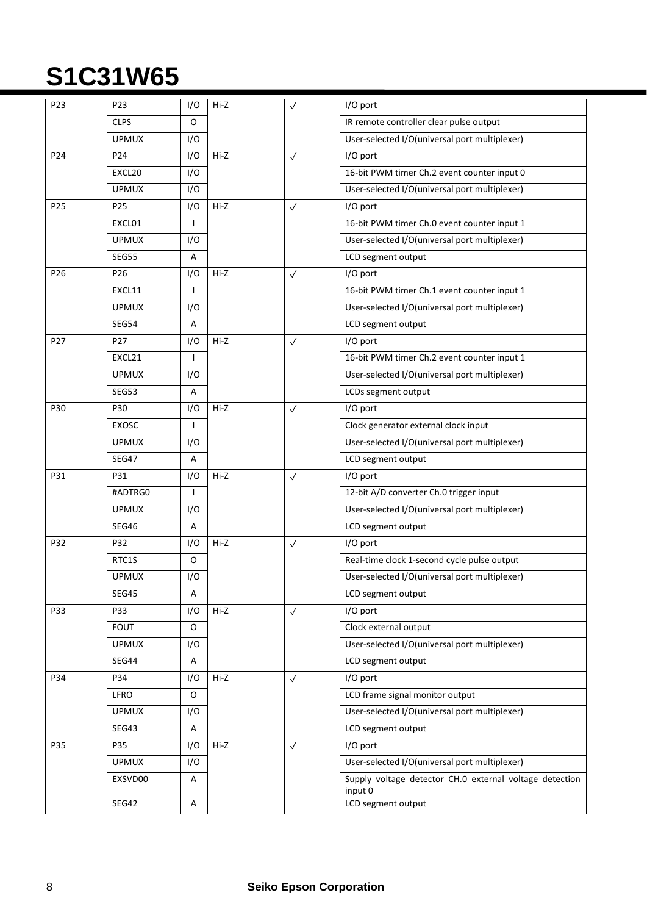| P23             | P23             | I/O | Hi-Z   | $\checkmark$ | I/O port                                                           |
|-----------------|-----------------|-----|--------|--------------|--------------------------------------------------------------------|
|                 | <b>CLPS</b>     | 0   |        |              | IR remote controller clear pulse output                            |
|                 | <b>UPMUX</b>    | I/O |        |              | User-selected I/O(universal port multiplexer)                      |
| P <sub>24</sub> | P <sub>24</sub> | I/O | Hi-Z   | $\checkmark$ | I/O port                                                           |
|                 | EXCL20          | I/O |        |              | 16-bit PWM timer Ch.2 event counter input 0                        |
|                 | <b>UPMUX</b>    | I/O |        |              | User-selected I/O(universal port multiplexer)                      |
| P <sub>25</sub> | P <sub>25</sub> | I/O | $Hi-Z$ | $\checkmark$ | I/O port                                                           |
|                 | EXCL01          | T   |        |              | 16-bit PWM timer Ch.0 event counter input 1                        |
|                 | <b>UPMUX</b>    | I/O |        |              | User-selected I/O(universal port multiplexer)                      |
|                 | <b>SEG55</b>    | A   |        |              | LCD segment output                                                 |
| P <sub>26</sub> | P <sub>26</sub> | I/O | Hi-Z   | $\checkmark$ | I/O port                                                           |
|                 | EXCL11          | ı   |        |              | 16-bit PWM timer Ch.1 event counter input 1                        |
|                 | <b>UPMUX</b>    | I/O |        |              | User-selected I/O(universal port multiplexer)                      |
|                 | <b>SEG54</b>    | A   |        |              | LCD segment output                                                 |
| P27             | P27             | I/O | Hi-Z   | $\checkmark$ | I/O port                                                           |
|                 | EXCL21          | T   |        |              | 16-bit PWM timer Ch.2 event counter input 1                        |
|                 | <b>UPMUX</b>    | I/O |        |              | User-selected I/O(universal port multiplexer)                      |
|                 | SEG53           | A   |        |              | LCDs segment output                                                |
| P30             | P30             | I/O | Hi-Z   | $\checkmark$ | I/O port                                                           |
|                 | <b>EXOSC</b>    | J.  |        |              | Clock generator external clock input                               |
|                 | <b>UPMUX</b>    | I/O |        |              | User-selected I/O(universal port multiplexer)                      |
|                 | <b>SEG47</b>    | A   |        |              | LCD segment output                                                 |
| P31             | P31             | I/O | Hi-Z   | $\checkmark$ | I/O port                                                           |
|                 | #ADTRG0         |     |        |              | 12-bit A/D converter Ch.0 trigger input                            |
|                 | <b>UPMUX</b>    | I/O |        |              | User-selected I/O(universal port multiplexer)                      |
|                 | SEG46           | Α   |        |              | LCD segment output                                                 |
| P32             | P32             | I/O | Hi-Z   | $\checkmark$ | I/O port                                                           |
|                 | RTC1S           | O   |        |              | Real-time clock 1-second cycle pulse output                        |
|                 | <b>UPMUX</b>    | I/O |        |              | User-selected I/O(universal port multiplexer)                      |
|                 | SEG45           | Α   |        |              | LCD segment output                                                 |
| P33             | P33             | I/O | Hi-Z   | $\checkmark$ | I/O port                                                           |
|                 | <b>FOUT</b>     | O   |        |              | Clock external output                                              |
|                 | <b>UPMUX</b>    | I/O |        |              | User-selected I/O(universal port multiplexer)                      |
|                 | SEG44           | A   |        |              | LCD segment output                                                 |
| P34             | P34             | I/O | Hi-Z   | $\checkmark$ | I/O port                                                           |
|                 | <b>LFRO</b>     | 0   |        |              | LCD frame signal monitor output                                    |
|                 | <b>UPMUX</b>    | I/O |        |              | User-selected I/O(universal port multiplexer)                      |
|                 | SEG43           | Α   |        |              | LCD segment output                                                 |
| P35             | P35             | I/O | Hi-Z   | $\checkmark$ | I/O port                                                           |
|                 | <b>UPMUX</b>    | I/O |        |              | User-selected I/O(universal port multiplexer)                      |
|                 | EXSVD00         | Α   |        |              | Supply voltage detector CH.0 external voltage detection<br>input 0 |
|                 | <b>SEG42</b>    | A   |        |              | LCD segment output                                                 |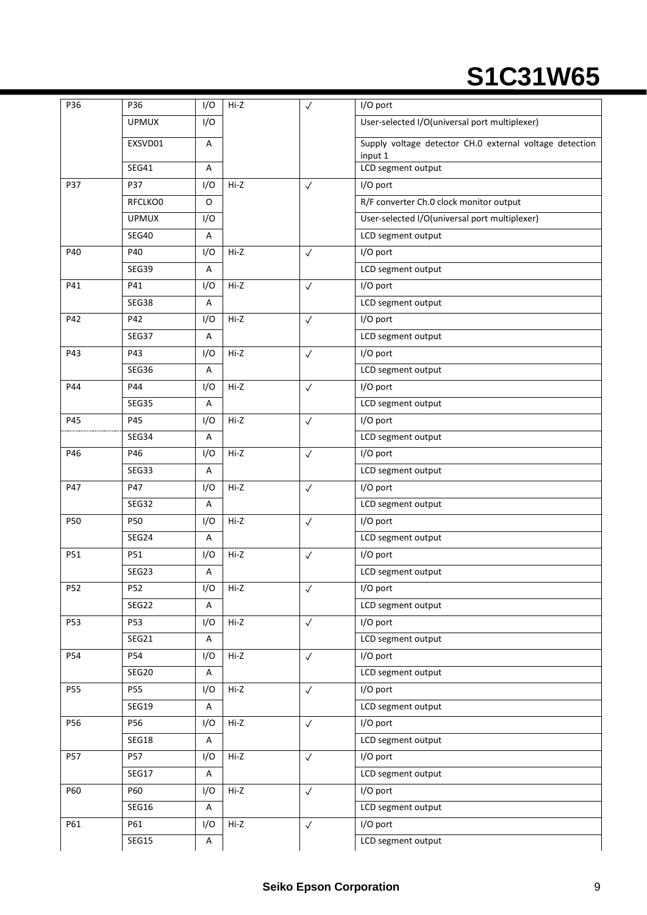| P36 | P36          | I/O                       | Hi-Z   | $\checkmark$ | I/O port                                                           |
|-----|--------------|---------------------------|--------|--------------|--------------------------------------------------------------------|
|     | <b>UPMUX</b> | I/O                       |        |              | User-selected I/O(universal port multiplexer)                      |
|     | EXSVD01      | A                         |        |              | Supply voltage detector CH.0 external voltage detection<br>input 1 |
|     | SEG41        | A                         |        |              | LCD segment output                                                 |
| P37 | P37          | I/O                       | Hi-Z   | $\checkmark$ | I/O port                                                           |
|     | RFCLKO0      | 0                         |        |              | R/F converter Ch.0 clock monitor output                            |
|     | <b>UPMUX</b> | I/O                       |        |              | User-selected I/O(universal port multiplexer)                      |
|     | <b>SEG40</b> | Α                         |        |              | LCD segment output                                                 |
| P40 | P40          | I/O                       | Hi-Z   | $\checkmark$ | I/O port                                                           |
|     | SEG39        | A                         |        |              | LCD segment output                                                 |
| P41 | P41          | I/O                       | $Hi-Z$ | $\checkmark$ | I/O port                                                           |
|     | SEG38        | A                         |        |              | LCD segment output                                                 |
| P42 | P42          | I/O                       | Hi-Z   | $\checkmark$ | I/O port                                                           |
|     | SEG37        | Α                         |        |              | LCD segment output                                                 |
| P43 | P43          | I/O                       | Hi-Z   | $\checkmark$ | I/O port                                                           |
|     | SEG36        | A                         |        |              | LCD segment output                                                 |
| P44 | P44          | I/O                       | Hi-Z   | $\checkmark$ | I/O port                                                           |
|     | SEG35        | Α                         |        |              | LCD segment output                                                 |
| P45 | P45          | I/O                       | Hi-Z   | $\checkmark$ | I/O port                                                           |
|     | SEG34        | Α                         |        |              | LCD segment output                                                 |
| P46 | P46          | I/O                       | $Hi-Z$ | $\checkmark$ | I/O port                                                           |
|     | SEG33        | Α                         |        |              | LCD segment output                                                 |
| P47 | P47          | I/O                       | Hi-Z   | $\checkmark$ | I/O port                                                           |
|     | SEG32        | Α                         |        |              | LCD segment output                                                 |
| P50 | <b>P50</b>   | I/O                       | Hi-Z   | $\checkmark$ | I/O port                                                           |
|     | SEG24        | A                         |        |              | LCD segment output                                                 |
| P51 | <b>P51</b>   | I/O                       | Hi-Z   | $\checkmark$ | I/O port                                                           |
|     | SEG23        | A                         |        |              | LCD segment output                                                 |
| P52 | P52          | I/O                       | Hi-Z   | $\checkmark$ | I/O port                                                           |
|     | SEG22        | A                         |        |              | LCD segment output                                                 |
| P53 | P53          | I/O                       | Hi-Z   | $\checkmark$ | I/O port                                                           |
|     | SEG21        | A                         |        |              | LCD segment output                                                 |
| P54 | P54          | I/O                       | Hi-Z   | $\checkmark$ | I/O port                                                           |
|     | SEG20        | A                         |        |              | LCD segment output                                                 |
| P55 | <b>P55</b>   | I/O                       | Hi-Z   | $\checkmark$ | I/O port                                                           |
|     | SEG19        | A                         |        |              | LCD segment output                                                 |
| P56 | P56          | I/O                       | $Hi-Z$ | $\checkmark$ | I/O port                                                           |
|     | SEG18        | A                         |        |              | LCD segment output                                                 |
| P57 | P57          | I/O                       | Hi-Z   | $\checkmark$ | I/O port                                                           |
|     | SEG17        | A                         |        |              | LCD segment output                                                 |
| P60 | <b>P60</b>   | I/O                       | $Hi-Z$ | $\checkmark$ | I/O port                                                           |
|     | SEG16        | Α                         |        |              | LCD segment output                                                 |
| P61 | P61          | I/O                       | Hi-Z   | $\checkmark$ | I/O port                                                           |
|     | SEG15        | $\boldsymbol{\mathsf{A}}$ |        |              | LCD segment output                                                 |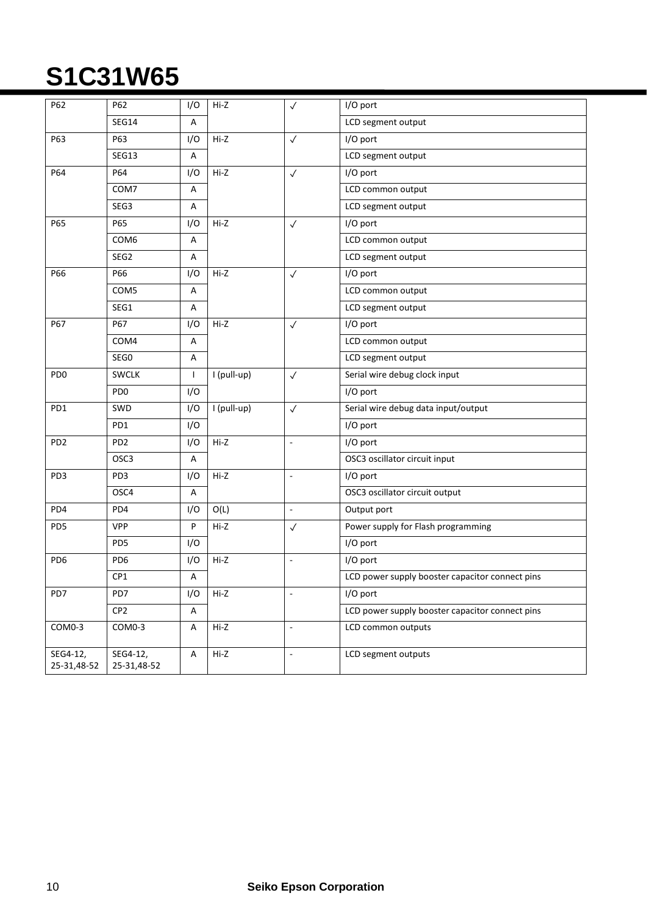| P62                     | P62                     | I/O                       | Hi-Z        | $\checkmark$             | I/O port                                        |
|-------------------------|-------------------------|---------------------------|-------------|--------------------------|-------------------------------------------------|
|                         | <b>SEG14</b>            | Α                         |             |                          | LCD segment output                              |
| P63                     | P63                     | I/O                       | Hi-Z        | $\checkmark$             | I/O port                                        |
|                         | SEG13                   | Α                         |             |                          | LCD segment output                              |
| P64                     | P64                     | I/O                       | Hi-Z        | $\checkmark$             | I/O port                                        |
|                         | COM7                    | Α                         |             |                          | LCD common output                               |
|                         | SEG3                    | Α                         |             |                          | LCD segment output                              |
| P65                     | P65                     | I/O                       | Hi-Z        | $\checkmark$             | I/O port                                        |
|                         | COM6                    | Α                         |             |                          | LCD common output                               |
|                         | SEG2                    | Α                         |             |                          | LCD segment output                              |
| P66                     | P66                     | I/O                       | Hi-Z        | $\checkmark$             | I/O port                                        |
|                         | COM5                    | Α                         |             |                          | LCD common output                               |
|                         | SEG1                    | Α                         |             |                          | LCD segment output                              |
| P67                     | P67                     | I/O                       | Hi-Z        | $\checkmark$             | I/O port                                        |
|                         | COM4                    | Α                         |             |                          | LCD common output                               |
|                         | SEG0                    | Α                         |             |                          | LCD segment output                              |
| PD <sub>0</sub>         | <b>SWCLK</b>            | $\mathsf{I}$              | I (pull-up) | $\checkmark$             | Serial wire debug clock input                   |
|                         | PD <sub>0</sub>         | I/O                       |             |                          | I/O port                                        |
| PD1                     | SWD                     | I/O                       | I (pull-up) | $\checkmark$             | Serial wire debug data input/output             |
|                         | PD1                     | I/O                       |             |                          | I/O port                                        |
| PD <sub>2</sub>         | PD <sub>2</sub>         | I/O                       | Hi-Z        | L.                       | I/O port                                        |
|                         | OSC <sub>3</sub>        | Α                         |             |                          | OSC3 oscillator circuit input                   |
| PD3                     | PD3                     | I/O                       | Hi-Z        | $\omega$                 | I/O port                                        |
|                         | OSC4                    | Α                         |             |                          | OSC3 oscillator circuit output                  |
| PD4                     | PD4                     | I/O                       | O(L)        | $\omega$                 | Output port                                     |
| PD <sub>5</sub>         | <b>VPP</b>              | P                         | Hi-Z        | $\checkmark$             | Power supply for Flash programming              |
|                         | PD <sub>5</sub>         | I/O                       |             |                          | I/O port                                        |
| PD <sub>6</sub>         | PD <sub>6</sub>         | I/O                       | Hi-Z        | $\overline{\phantom{a}}$ | I/O port                                        |
|                         | CP1                     | Α                         |             |                          | LCD power supply booster capacitor connect pins |
| PD7                     | PD7                     | I/O                       | Hi-Z        | $\sim$                   | I/O port                                        |
|                         | CP <sub>2</sub>         | Α                         |             |                          | LCD power supply booster capacitor connect pins |
| COM0-3                  | COM0-3                  | A                         | Hi-Z        | ä,                       | LCD common outputs                              |
| SEG4-12,<br>25-31,48-52 | SEG4-12,<br>25-31,48-52 | $\boldsymbol{\mathsf{A}}$ | Hi-Z        | $\overline{a}$           | LCD segment outputs                             |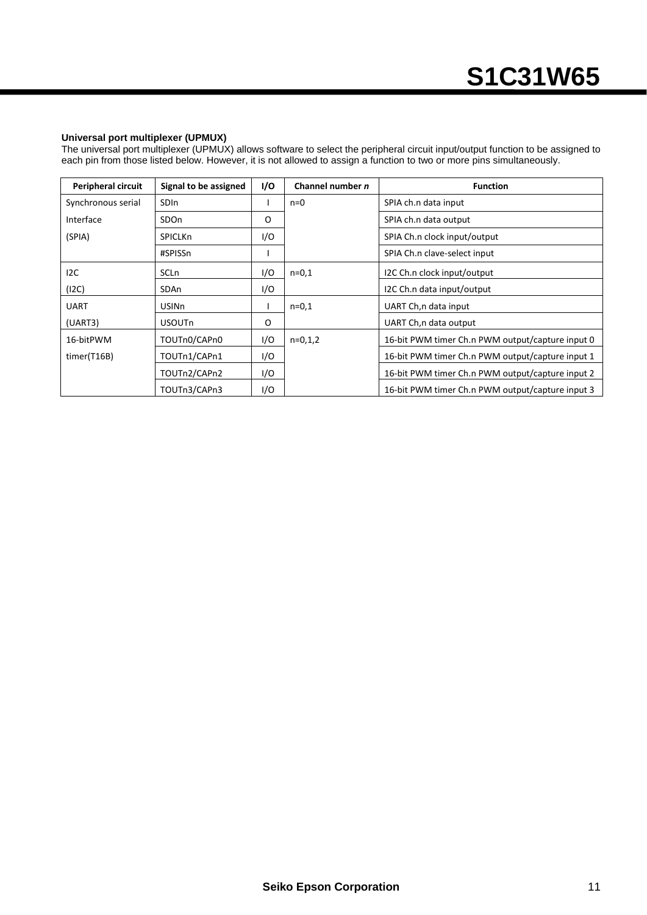#### **Universal port multiplexer (UPMUX)**

The universal port multiplexer (UPMUX) allows software to select the peripheral circuit input/output function to be assigned to each pin from those listed below. However, it is not allowed to assign a function to two or more pins simultaneously.

| <b>Peripheral circuit</b> | Signal to be assigned | I/O | Channel number n | <b>Function</b>                                  |
|---------------------------|-----------------------|-----|------------------|--------------------------------------------------|
| Synchronous serial        | <b>SDIn</b>           |     | $n=0$            | SPIA ch.n data input                             |
| Interface                 | SDO <sub>n</sub>      | O   |                  | SPIA ch.n data output                            |
| (SPIA)                    | <b>SPICLKn</b>        | I/O |                  | SPIA Ch.n clock input/output                     |
|                           | #SPISSn               |     |                  | SPIA Ch.n clave-select input                     |
| 12C                       | <b>SCLn</b>           | I/O | $n=0,1$          | I2C Ch.n clock input/output                      |
| (12C)                     | SDAn                  | I/O |                  | I2C Ch.n data input/output                       |
| <b>UART</b>               | <b>USINn</b>          |     | $n=0,1$          | UART Ch, n data input                            |
| (UART3)                   | <b>USOUTn</b>         | O   |                  | UART Ch, n data output                           |
| 16-bitPWM                 | TOUTn0/CAPn0          | I/O | $n=0,1,2$        | 16-bit PWM timer Ch.n PWM output/capture input 0 |
| timer(T16B)               | TOUTn1/CAPn1          | I/O |                  | 16-bit PWM timer Ch.n PWM output/capture input 1 |
|                           | TOUTn2/CAPn2          | I/O |                  | 16-bit PWM timer Ch.n PWM output/capture input 2 |
|                           | TOUTn3/CAPn3          | 1/O |                  | 16-bit PWM timer Ch.n PWM output/capture input 3 |